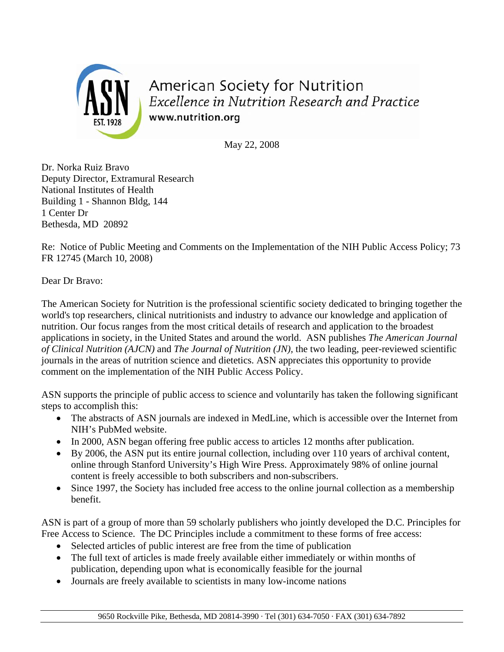

American Society for Nutrition Excellence in Nutrition Research and Practice www.nutrition.org

May 22, 2008

Dr. Norka Ruiz Bravo Deputy Director, Extramural Research National Institutes of Health Building 1 - Shannon Bldg, 144 1 Center Dr Bethesda, MD 20892

Re: Notice of Public Meeting and Comments on the Implementation of the NIH Public Access Policy; 73 FR 12745 (March 10, 2008)

Dear Dr Bravo:

The American Society for Nutrition is the professional scientific society dedicated to bringing together the world's top researchers, clinical nutritionists and industry to advance our knowledge and application of nutrition. Our focus ranges from the most critical details of research and application to the broadest applications in society, in the United States and around the world. ASN publishes *The American Journal of Clinical Nutrition (AJCN)* and *The Journal of Nutrition (JN),* the two leading, peer-reviewed scientific journals in the areas of nutrition science and dietetics. ASN appreciates this opportunity to provide comment on the implementation of the NIH Public Access Policy.

ASN supports the principle of public access to science and voluntarily has taken the following significant steps to accomplish this:

- The abstracts of ASN journals are indexed in MedLine, which is accessible over the Internet from NIH's PubMed website.
- In 2000, ASN began offering free public access to articles 12 months after publication.
- By 2006, the ASN put its entire journal collection, including over 110 years of archival content, online through Stanford University's High Wire Press. Approximately 98% of online journal content is freely accessible to both subscribers and non-subscribers.
- Since 1997, the Society has included free access to the online journal collection as a membership benefit.

ASN is part of a group of more than 59 scholarly publishers who jointly developed the D.C. Principles for Free Access to Science. The DC Principles include a commitment to these forms of free access:

- Selected articles of public interest are free from the time of publication
- The full text of articles is made freely available either immediately or within months of publication, depending upon what is economically feasible for the journal
- Journals are freely available to scientists in many low-income nations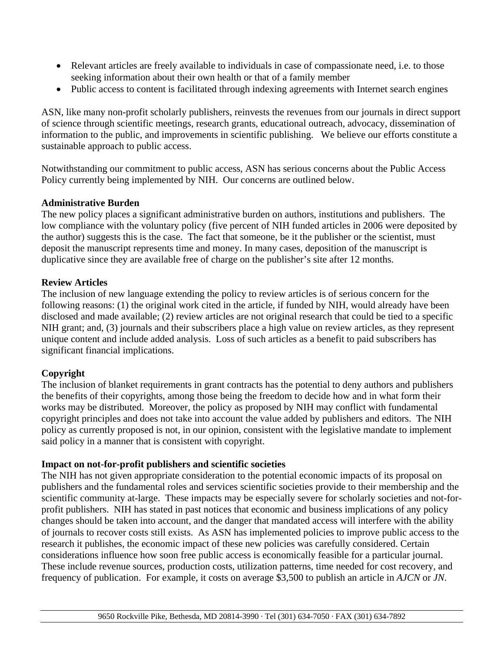- Relevant articles are freely available to individuals in case of compassionate need, i.e. to those seeking information about their own health or that of a family member
- Public access to content is facilitated through indexing agreements with Internet search engines

ASN, like many non-profit scholarly publishers, reinvests the revenues from our journals in direct support of science through scientific meetings, research grants, educational outreach, advocacy, dissemination of information to the public, and improvements in scientific publishing. We believe our efforts constitute a sustainable approach to public access.

Notwithstanding our commitment to public access, ASN has serious concerns about the Public Access Policy currently being implemented by NIH. Our concerns are outlined below.

# **Administrative Burden**

The new policy places a significant administrative burden on authors, institutions and publishers. The low compliance with the voluntary policy (five percent of NIH funded articles in 2006 were deposited by the author) suggests this is the case. The fact that someone, be it the publisher or the scientist, must deposit the manuscript represents time and money. In many cases, deposition of the manuscript is duplicative since they are available free of charge on the publisher's site after 12 months.

# **Review Articles**

The inclusion of new language extending the policy to review articles is of serious concern for the following reasons: (1) the original work cited in the article, if funded by NIH, would already have been disclosed and made available; (2) review articles are not original research that could be tied to a specific NIH grant; and, (3) journals and their subscribers place a high value on review articles, as they represent unique content and include added analysis. Loss of such articles as a benefit to paid subscribers has significant financial implications.

# **Copyright**

The inclusion of blanket requirements in grant contracts has the potential to deny authors and publishers the benefits of their copyrights, among those being the freedom to decide how and in what form their works may be distributed. Moreover, the policy as proposed by NIH may conflict with fundamental copyright principles and does not take into account the value added by publishers and editors. The NIH policy as currently proposed is not, in our opinion, consistent with the legislative mandate to implement said policy in a manner that is consistent with copyright.

# **Impact on not-for-profit publishers and scientific societies**

The NIH has not given appropriate consideration to the potential economic impacts of its proposal on publishers and the fundamental roles and services scientific societies provide to their membership and the scientific community at-large. These impacts may be especially severe for scholarly societies and not-forprofit publishers. NIH has stated in past notices that economic and business implications of any policy changes should be taken into account, and the danger that mandated access will interfere with the ability of journals to recover costs still exists. As ASN has implemented policies to improve public access to the research it publishes, the economic impact of these new policies was carefully considered. Certain considerations influence how soon free public access is economically feasible for a particular journal. These include revenue sources, production costs, utilization patterns, time needed for cost recovery, and frequency of publication. For example, it costs on average \$3,500 to publish an article in *AJCN* or *JN*.